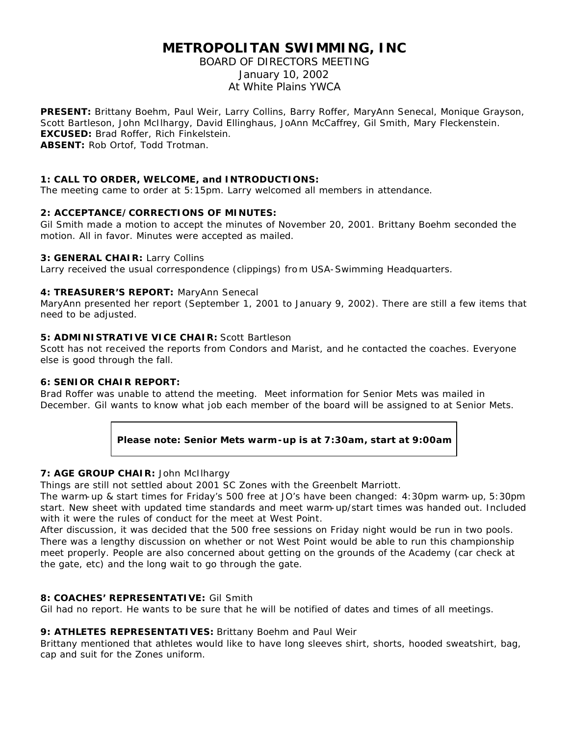# **METROPOLITAN SWIMMING, INC**

# BOARD OF DIRECTORS MEETING January 10, 2002 At White Plains YWCA

**PRESENT:** Brittany Boehm, Paul Weir, Larry Collins, Barry Roffer, MaryAnn Senecal, Monique Grayson, Scott Bartleson, John McIlhargy, David Ellinghaus, JoAnn McCaffrey, Gil Smith, Mary Fleckenstein. **EXCUSED:** Brad Roffer, Rich Finkelstein.

**ABSENT:** Rob Ortof, Todd Trotman.

#### **1: CALL TO ORDER, WELCOME, and INTRODUCTIONS:**

The meeting came to order at 5:15pm. Larry welcomed all members in attendance.

## **2: ACCEPTANCE/CORRECTIONS OF MINUTES:**

Gil Smith made a motion to accept the minutes of November 20, 2001. Brittany Boehm seconded the motion. All in favor. Minutes were accepted as mailed.

#### **3: GENERAL CHAIR:** Larry Collins

Larry received the usual correspondence (clippings) from USA-Swimming Headquarters.

#### **4: TREASURER'S REPORT:** MaryAnn Senecal

MaryAnn presented her report (September 1, 2001 to January 9, 2002). There are still a few items that need to be adjusted.

## **5: ADMINISTRATIVE VICE CHAIR:** Scott Bartleson

Scott has not received the reports from Condors and Marist, and he contacted the coaches. Everyone else is good through the fall.

#### **6: SENIOR CHAIR REPORT:**

Brad Roffer was unable to attend the meeting. Meet information for Senior Mets was mailed in December. Gil wants to know what job each member of the board will be assigned to at Senior Mets.

## **Please note: Senior Mets warm-up is at 7:30am, start at 9:00am**

## **7: AGE GROUP CHAIR:** John McIlhargy

Things are still not settled about 2001 SC Zones with the Greenbelt Marriott.

The warm-up & start times for Friday's 500 free at JO's have been changed: 4:30pm warm- up, 5:30pm start. New sheet with updated time standards and meet warm-up/start times was handed out. Included with it were the rules of conduct for the meet at West Point.

After discussion, it was decided that the 500 free sessions on Friday night would be run in two pools. There was a lengthy discussion on whether or not West Point would be able to run this championship meet properly. People are also concerned about getting on the grounds of the Academy (car check at the gate, etc) and the long wait to go through the gate.

## **8: COACHES' REPRESENTATIVE:** Gil Smith

Gil had no report. He wants to be sure that he will be notified of dates and times of all meetings.

## **9: ATHLETES REPRESENTATIVES:** Brittany Boehm and Paul Weir

Brittany mentioned that athletes would like to have long sleeves shirt, shorts, hooded sweatshirt, bag, cap and suit for the Zones uniform.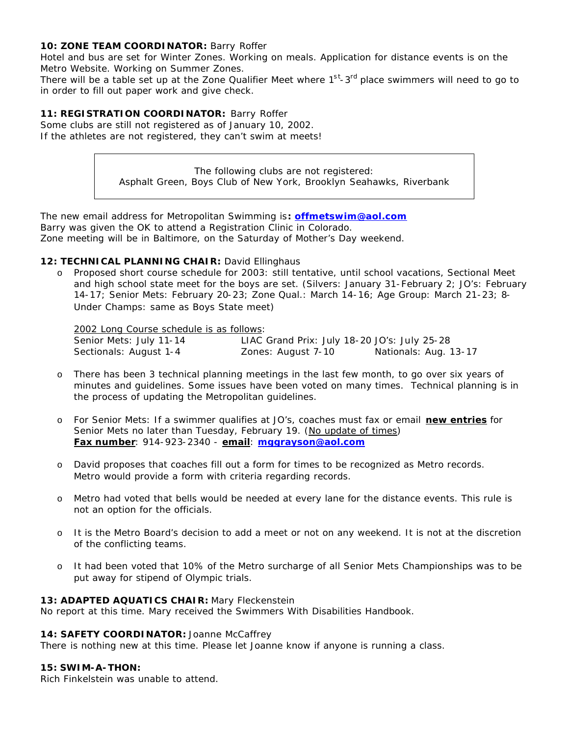#### 10: **ZONE TEAM COORDINATOR: Barry Roffer**

Hotel and bus are set for Winter Zones. Working on meals. Application for distance events is on the Metro Website. Working on Summer Zones.

There will be a table set up at the Zone Qualifier Meet where 1<sup>st</sup>-3<sup>rd</sup> place swimmers will need to go to in order to fill out paper work and give check.

#### **11: REGISTRATION COORDINATOR:** Barry Roffer

Some clubs are still not registered as of January 10, 2002. If the athletes are not registered, they can't swim at meets!

> The following clubs are not registered: Asphalt Green, Boys Club of New York, Brooklyn Seahawks, Riverbank

The new email address for Metropolitan Swimming is**: offmetswim@aol.com** Barry was given the OK to attend a Registration Clinic in Colorado. Zone meeting will be in Baltimore, on the Saturday of Mother's Day weekend.

#### 12: TECHNICAL PLANNING CHAIR: David Ellinghaus

o Proposed short course schedule for 2003: still tentative, until school vacations, Sectional Meet and high school state meet for the boys are set. (Silvers: January 31-February 2; JO's: February 14-17; Senior Mets: February 20-23; Zone Qual.: March 14-16; Age Group: March 21-23; 8- Under Champs: same as Boys State meet)

2002 Long Course schedule is as follows:

| Senior Mets: July 11-14 | LIAC Grand Prix: July 18-20 JO's: July 25-28 |                       |
|-------------------------|----------------------------------------------|-----------------------|
| Sectionals: August 1-4  | Zones: August 7-10                           | Nationals: Aug. 13-17 |

- o There has been 3 technical planning meetings in the last few month, to go over six years of minutes and guidelines. Some issues have been voted on many times. Technical planning is in the process of updating the Metropolitan guidelines.
- o For Senior Mets: If a swimmer qualifies at JO's, coaches must fax or email **new entries** for Senior Mets no later than Tuesday, February 19. (No update of times) **Fax number**: 914-923-2340 - **email**: **mggrayson@aol.com**
- o David proposes that coaches fill out a form for times to be recognized as Metro records. Metro would provide a form with criteria regarding records.
- o Metro had voted that bells would be needed at every lane for the distance events. This rule is not an option for the officials.
- o It is the Metro Board's decision to add a meet or not on any weekend. It is not at the discretion of the conflicting teams.
- o It had been voted that 10% of the Metro surcharge of all Senior Mets Championships was to be put away for stipend of Olympic trials.

#### **13: ADAPTED AQUATICS CHAIR:** Mary Fleckenstein

No report at this time. Mary received the Swimmers With Disabilities Handbook.

#### 14: SAFETY COORDINATOR: Joanne McCaffrey

There is nothing new at this time. Please let Joanne know if anyone is running a class.

#### **15: SWIM-A-THON:**

Rich Finkelstein was unable to attend.